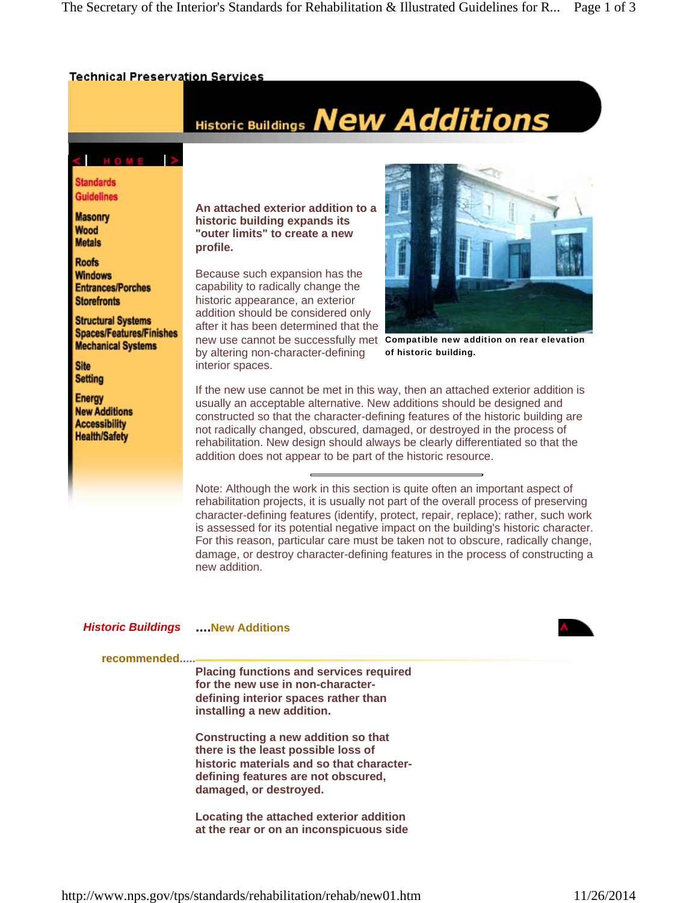## **Technical Preservation Services**

## Historic Buildings New Additions

CHOME **Standards** 

**Guidelines** 

**Masonry** Wood **Metals** 

**Roofs Windows Entrances/Porches Storefronts** 

**Structural Systems Spaces/Features/Finishes Mechanical Systems** 

**Site** Setting

Energy **New Additions Accessibility Health/Safety** 

**An attached exterior addition to a historic building expands its "outer limits" to create a new profile.**

new use cannot be successfully met compatible new addition on rear elevation Because such expansion has the capability to radically change the historic appearance, an exterior addition should be considered only after it has been determined that the by altering non-character-defining interior spaces.



of historic building.

If the new use cannot be met in this way, then an attached exterior addition is usually an acceptable alternative. New additions should be designed and constructed so that the character-defining features of the historic building are not radically changed, obscured, damaged, or destroyed in the process of rehabilitation. New design should always be clearly differentiated so that the addition does not appear to be part of the historic resource.

Note: Although the work in this section is quite often an important aspect of rehabilitation projects, it is usually not part of the overall process of preserving character-defining features (identify, protect, repair, replace); rather, such work is assessed for its potential negative impact on the building's historic character. For this reason, particular care must be taken not to obscure, radically change, damage, or destroy character-defining features in the process of constructing a new addition.

## *Historic Buildings* **....New Additions**



**recommended.....**

**Placing functions and services required for the new use in non-characterdefining interior spaces rather than installing a new addition.** 

**Constructing a new addition so that there is the least possible loss of historic materials and so that characterdefining features are not obscured, damaged, or destroyed.** 

**Locating the attached exterior addition at the rear or on an inconspicuous side**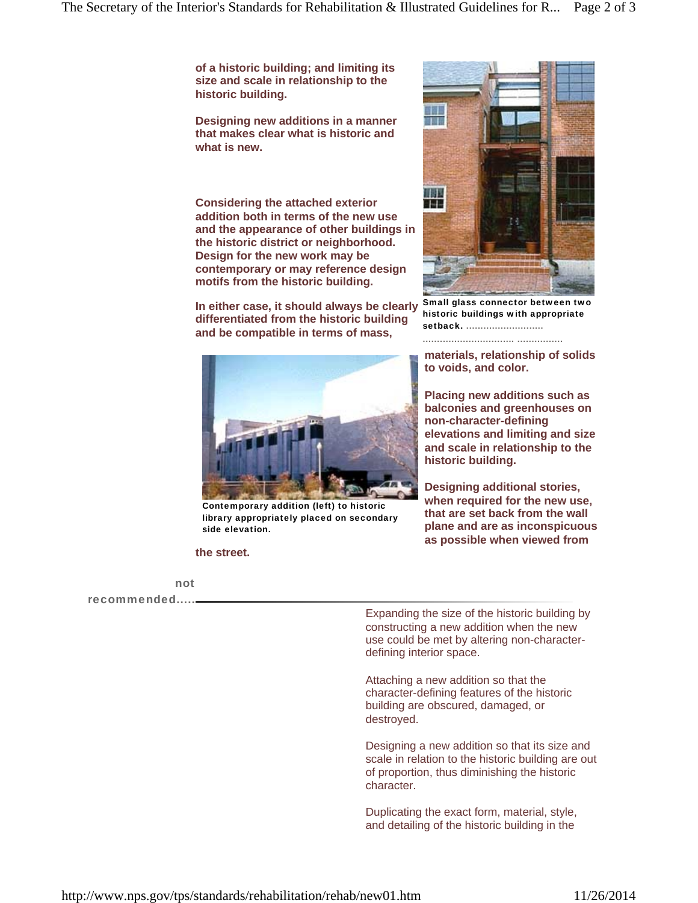**of a historic building; and limiting its size and scale in relationship to the historic building.** 

**Designing new additions in a manner that makes clear what is historic and what is new.** 

**Considering the attached exterior addition both in terms of the new use and the appearance of other buildings in the historic district or neighborhood. Design for the new work may be contemporary or may reference design motifs from the historic building.** 

**In either case, it should always be clearly differentiated from the historic building and be compatible in terms of mass,** 



Contemporary addition (left) to historic library appropriately placed on secondary side elevation.

## **the street.**

not

recommended.....

Expanding the size of the historic building by constructing a new addition when the new use could be met by altering non-characterdefining interior space.

Attaching a new addition so that the character-defining features of the historic building are obscured, damaged, or destroyed.

Designing a new addition so that its size and scale in relation to the historic building are out of proportion, thus diminishing the historic character.

Duplicating the exact form, material, style, and detailing of the historic building in the



Small glass connector between two historic buildings with appropriate setback. ...........................

**materials, relationship of solids** 

................................ ................

**to voids, and color.**

**Placing new additions such as balconies and greenhouses on non-character-defining elevations and limiting and size and scale in relationship to the historic building.**

**Designing additional stories, when required for the new use, that are set back from the wall plane and are as inconspicuous as possible when viewed from**